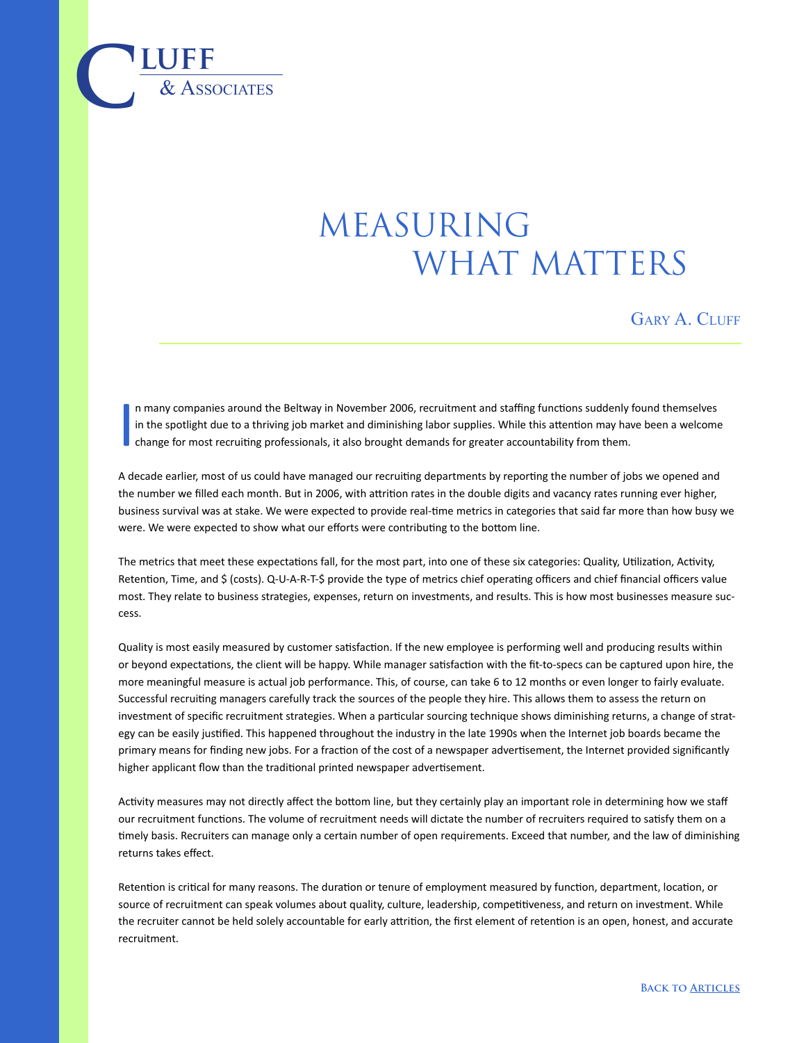## MEASURING WHAT MATTERS

GARY A. CLUFF

I n many companies around the Beltway in November 2006, recruitment and staffing functions suddenly found themselves in the spotlight due to a thriving job market and diminishing labor supplies. While this attention may have been a welcome change for most recruiting professionals, it also brought demands for greater accountability from them.

 $\overline{\text{LUFF}}$  **luff** 

A decade earlier, most of us could have managed our recruiting departments by reporting the number of jobs we opened and the number we filled each month. But in 2006, with attrition rates in the double digits and vacancy rates running ever higher, business survival was at stake. We were expected to provide real-time metrics in categories that said far more than how busy we were. We were expected to show what our efforts were contributing to the bottom line.

The metrics that meet these expectations fall, for the most part, into one of these six categories: Quality, Utilization, Activity, Retention, Time, and \$ (costs). Q-U-A-R-T-\$ provide the type of metrics chief operating officers and chief financial officers value most. They relate to business strategies, expenses, return on investments, and results. This is how most businesses measure success.

Quality is most easily measured by customer satisfaction. If the new employee is performing well and producing results within or beyond expectations, the client will be happy. While manager satisfaction with the fit-to-specs can be captured upon hire, the more meaningful measure is actual job performance. This, of course, can take 6 to 12 months or even longer to fairly evaluate. Successful recruiting managers carefully track the sources of the people they hire. This allows them to assess the return on investment of specific recruitment strategies. When a particular sourcing technique shows diminishing returns, a change of strategy can be easily justified. This happened throughout the industry in the late 1990s when the Internet job boards became the primary means for finding new jobs. For a fraction of the cost of a newspaper advertisement, the Internet provided significantly higher applicant flow than the traditional printed newspaper advertisement.

Activity measures may not directly affect the bottom line, but they certainly play an important role in determining how we staff our recruitment functions. The volume of recruitment needs will dictate the number of recruiters required to satisfy them on a timely basis. Recruiters can manage only a certain number of open requirements. Exceed that number, and the law of diminishing returns takes effect.

Retention is critical for many reasons. The duration or tenure of employment measured by function, department, location, or source of recruitment can speak volumes about quality, culture, leadership, competitiveness, and return on investment. While the recruiter cannot be held solely accountable for early attrition, the first element of retention is an open, honest, and accurate recruitment.